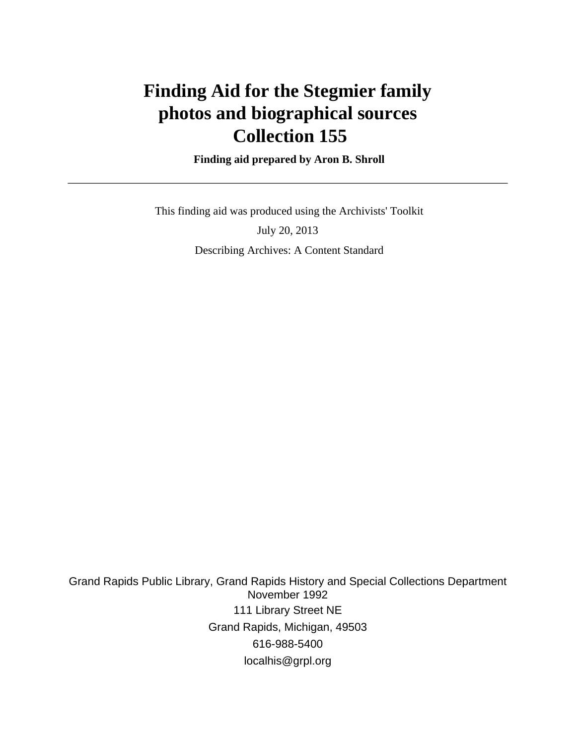# **Finding Aid for the Stegmier family photos and biographical sources Collection 155**

 **Finding aid prepared by Aron B. Shroll**

 This finding aid was produced using the Archivists' Toolkit July 20, 2013 Describing Archives: A Content Standard

Grand Rapids Public Library, Grand Rapids History and Special Collections Department November 1992 111 Library Street NE Grand Rapids, Michigan, 49503 616-988-5400 localhis@grpl.org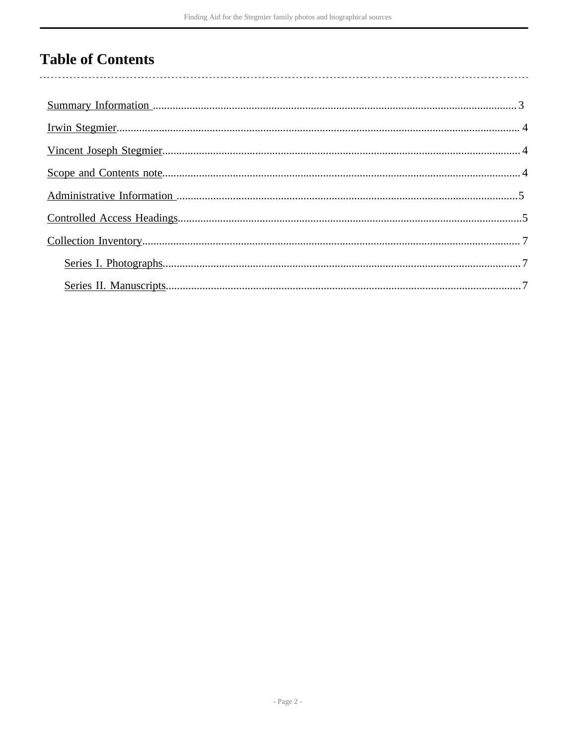## **Table of Contents**

 $\overline{\phantom{a}}$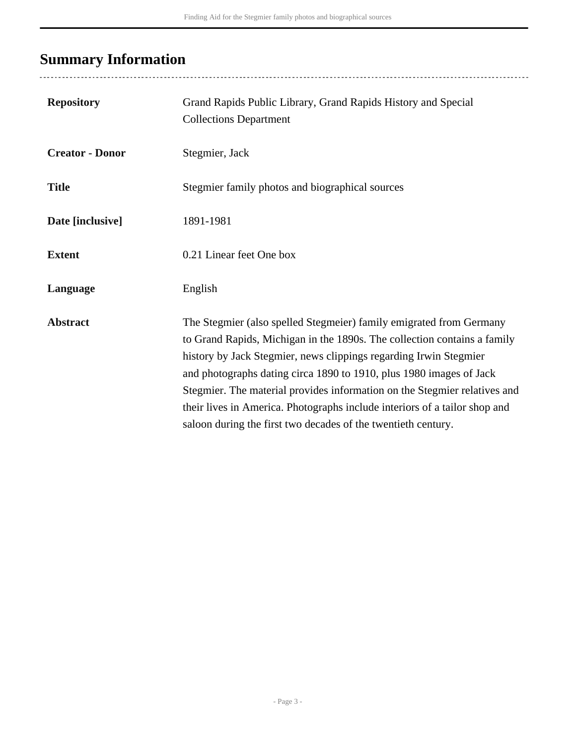## <span id="page-2-0"></span>**Summary Information**

..................................

| <b>Repository</b>      | Grand Rapids Public Library, Grand Rapids History and Special<br><b>Collections Department</b>                                                                                                                                                                                                                                                                                                                                                                                                                          |
|------------------------|-------------------------------------------------------------------------------------------------------------------------------------------------------------------------------------------------------------------------------------------------------------------------------------------------------------------------------------------------------------------------------------------------------------------------------------------------------------------------------------------------------------------------|
| <b>Creator - Donor</b> | Stegmier, Jack                                                                                                                                                                                                                                                                                                                                                                                                                                                                                                          |
| <b>Title</b>           | Stegmier family photos and biographical sources                                                                                                                                                                                                                                                                                                                                                                                                                                                                         |
| Date [inclusive]       | 1891-1981                                                                                                                                                                                                                                                                                                                                                                                                                                                                                                               |
| <b>Extent</b>          | 0.21 Linear feet One box                                                                                                                                                                                                                                                                                                                                                                                                                                                                                                |
| Language               | English                                                                                                                                                                                                                                                                                                                                                                                                                                                                                                                 |
| <b>Abstract</b>        | The Stegmier (also spelled Stegmeier) family emigrated from Germany<br>to Grand Rapids, Michigan in the 1890s. The collection contains a family<br>history by Jack Stegmier, news clippings regarding Irwin Stegmier<br>and photographs dating circa 1890 to 1910, plus 1980 images of Jack<br>Stegmier. The material provides information on the Stegmier relatives and<br>their lives in America. Photographs include interiors of a tailor shop and<br>saloon during the first two decades of the twentieth century. |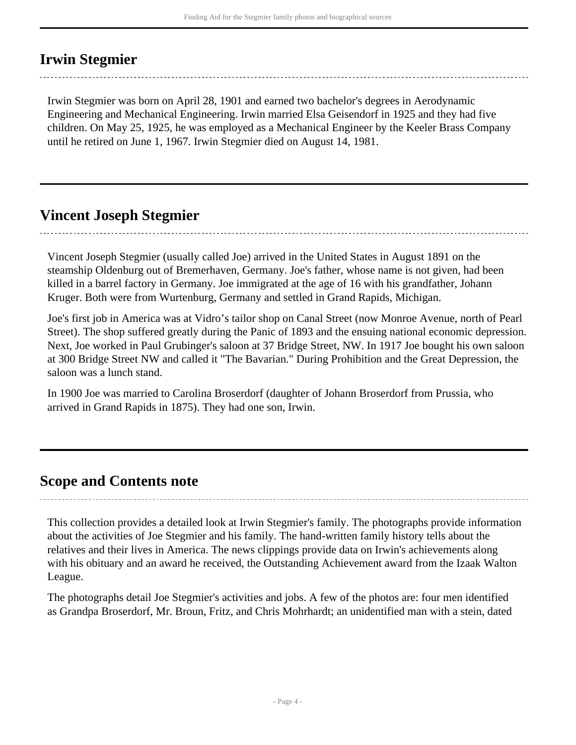### <span id="page-3-0"></span>**Irwin Stegmier**

Irwin Stegmier was born on April 28, 1901 and earned two bachelor's degrees in Aerodynamic Engineering and Mechanical Engineering. Irwin married Elsa Geisendorf in 1925 and they had five children. On May 25, 1925, he was employed as a Mechanical Engineer by the Keeler Brass Company until he retired on June 1, 1967. Irwin Stegmier died on August 14, 1981.

### <span id="page-3-1"></span>**Vincent Joseph Stegmier**

Vincent Joseph Stegmier (usually called Joe) arrived in the United States in August 1891 on the steamship Oldenburg out of Bremerhaven, Germany. Joe's father, whose name is not given, had been killed in a barrel factory in Germany. Joe immigrated at the age of 16 with his grandfather, Johann Kruger. Both were from Wurtenburg, Germany and settled in Grand Rapids, Michigan.

Joe's first job in America was at Vidro's tailor shop on Canal Street (now Monroe Avenue, north of Pearl Street). The shop suffered greatly during the Panic of 1893 and the ensuing national economic depression. Next, Joe worked in Paul Grubinger's saloon at 37 Bridge Street, NW. In 1917 Joe bought his own saloon at 300 Bridge Street NW and called it "The Bavarian." During Prohibition and the Great Depression, the saloon was a lunch stand.

In 1900 Joe was married to Carolina Broserdorf (daughter of Johann Broserdorf from Prussia, who arrived in Grand Rapids in 1875). They had one son, Irwin.

### <span id="page-3-2"></span>**Scope and Contents note**

This collection provides a detailed look at Irwin Stegmier's family. The photographs provide information about the activities of Joe Stegmier and his family. The hand-written family history tells about the relatives and their lives in America. The news clippings provide data on Irwin's achievements along with his obituary and an award he received, the Outstanding Achievement award from the Izaak Walton League.

The photographs detail Joe Stegmier's activities and jobs. A few of the photos are: four men identified as Grandpa Broserdorf, Mr. Broun, Fritz, and Chris Mohrhardt; an unidentified man with a stein, dated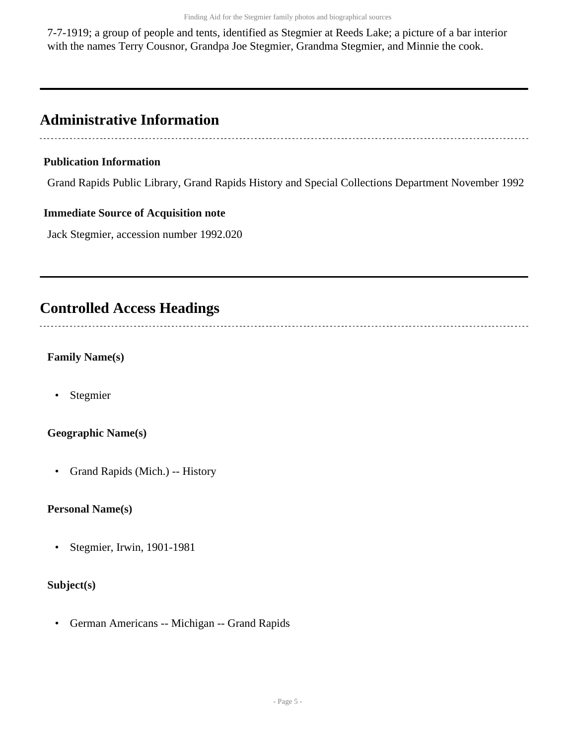7-7-1919; a group of people and tents, identified as Stegmier at Reeds Lake; a picture of a bar interior with the names Terry Cousnor, Grandpa Joe Stegmier, Grandma Stegmier, and Minnie the cook.

## <span id="page-4-0"></span>**Administrative Information**

#### **Publication Information**

Grand Rapids Public Library, Grand Rapids History and Special Collections Department November 1992

#### **Immediate Source of Acquisition note**

Jack Stegmier, accession number 1992.020

### <span id="page-4-1"></span>**Controlled Access Headings**

**Family Name(s)**

• Stegmier

#### **Geographic Name(s)**

• Grand Rapids (Mich.) -- History

#### **Personal Name(s)**

• Stegmier, Irwin, 1901-1981

#### **Subject(s)**

• German Americans -- Michigan -- Grand Rapids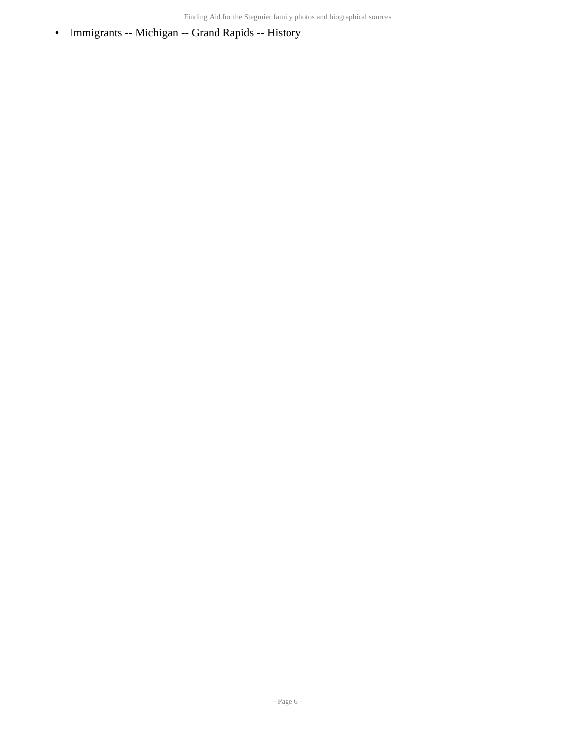• Immigrants -- Michigan -- Grand Rapids -- History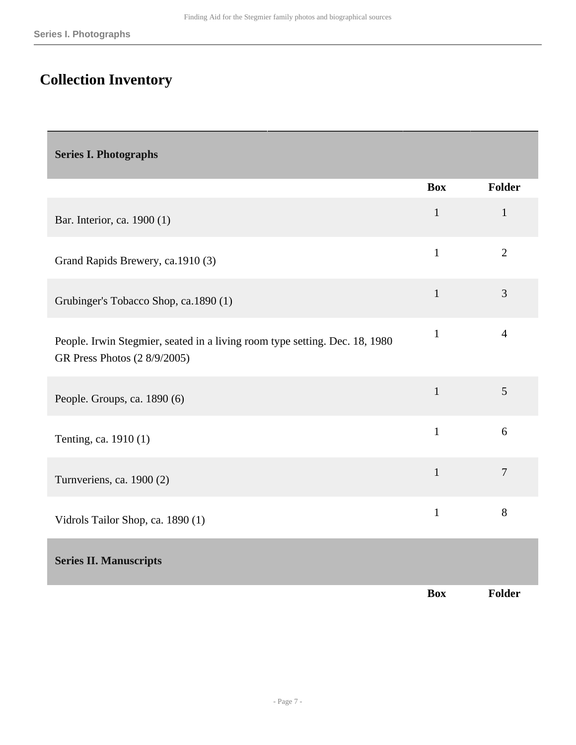## <span id="page-6-0"></span>**Collection Inventory**

<span id="page-6-2"></span><span id="page-6-1"></span>

| <b>Series I. Photographs</b>                                                                                |              |                |
|-------------------------------------------------------------------------------------------------------------|--------------|----------------|
|                                                                                                             | <b>Box</b>   | <b>Folder</b>  |
| Bar. Interior, ca. 1900 (1)                                                                                 | $\mathbf{1}$ | $\mathbf{1}$   |
| Grand Rapids Brewery, ca.1910 (3)                                                                           | $\mathbf{1}$ | $\overline{2}$ |
| Grubinger's Tobacco Shop, ca.1890 (1)                                                                       | $\mathbf{1}$ | 3              |
| People. Irwin Stegmier, seated in a living room type setting. Dec. 18, 1980<br>GR Press Photos (2 8/9/2005) | $\mathbf{1}$ | $\overline{4}$ |
| People. Groups, ca. 1890 (6)                                                                                | $\mathbf{1}$ | 5              |
| Tenting, ca. 1910 (1)                                                                                       | $\mathbf{1}$ | 6              |
| Turnveriens, ca. 1900 (2)                                                                                   | $\mathbf{1}$ | $\overline{7}$ |
| Vidrols Tailor Shop, ca. 1890 (1)                                                                           | $\mathbf{1}$ | 8              |
| <b>Series II. Manuscripts</b>                                                                               |              |                |
|                                                                                                             | <b>Box</b>   | Folder         |